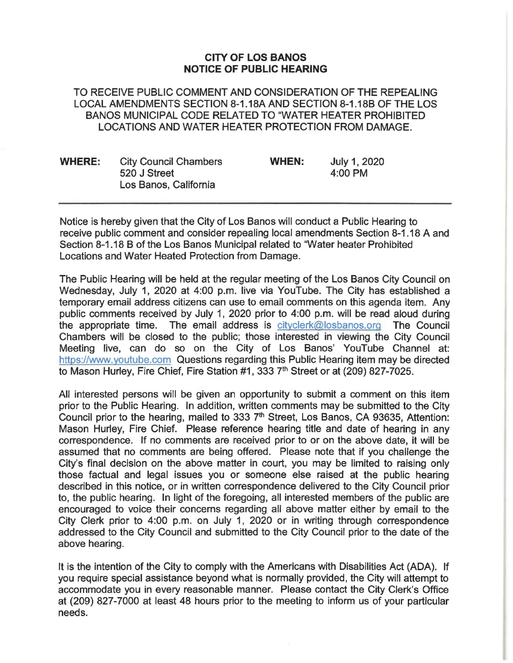## **CITY OF LOS BANOS NOTICE OF PUBLIC HEARING**

TO RECEIVE PUBLIC COMMENT AND CONSIDERATION OF THE REPEALING LOCAL AMENDMENTS SECTION 8-1.18A AND SECTION 8-1.18B OF THE LOS BANOS MUNICIPAL CODE RELATED TO "WATER HEATER PROHIBITED LOCATIONS AND WATER HEATER PROTECTION FROM DAMAGE.

| <b>WHERE:</b> | <b>City Council Chambers</b><br>520 J Street<br>Los Banos, California | <b>WHEN:</b> | July 1, 2020<br>4:00 PM |
|---------------|-----------------------------------------------------------------------|--------------|-------------------------|
|               |                                                                       |              |                         |

Notice is hereby given that the City of Los Banos will conduct a Public Hearing to receive public comment and consider repealing local amendments Section 8-1.18 A and Section 8-1.18 B of the Los Banos Municipal related to 'Water heater Prohibited Locations and Water Heated Protection from Damage.

The Public Hearing will be held at the regular meeting of the Los Banos City Council on Wednesday, July 1, 2020 at 4:00 p.m. live via YouTube. The City has established a temporary email address citizens can use to email comments on this agenda item. Any public comments received by July 1, 2020 prior to 4:00 p.m. will be read aloud during the appropriate time. The email address is cityclerk@losbanos.org The Council Chambers will be closed to the public; those interested in viewing the City Council Meeting live, can do so on the City of Los Banos' YouTube Channel at: https://www.youtube.com Questions regarding this Public Hearing item may be directed to Mason Hurley, Fire Chief, Fire Station #1, 333 7<sup>th</sup> Street or at (209) 827-7025.

All interested persons will be given an opportunity to submit a comment on this item prior to the Public Hearing. In addition, written comments may be submitted to the City Council prior to the hearing, mailed to 333 7<sup>th</sup> Street, Los Banos, CA 93635, Attention: Mason Hurley, Fire Chief. Please reference hearing title and date of hearing in any correspondence. If no comments are received prior to or on the above date, it will be assumed that no comments are being offered. Please note that if you challenge the City's final decision on the above matter in court, you may be limited to raising only those factual and legal issues you or someone else raised at the public hearing described in this notice, or in written correspondence delivered to the City Council prior to, the public hearing. In light of the foregoing, all interested members of the public are encouraged to voice their concerns regarding all above matter either by email to the City Clerk prior to 4:00 p.m. on July 1, 2020 or in writing through correspondence addressed to the City Council and submitted to the City Council prior to the date of the above hearing.

It is the intention of the City to comply with the Americans with Disabilities Act (ADA). If you require special assistance beyond what is normally provided, the City will attempt to accommodate you in every reasonable manner. Please contact the City Clerk's Office at (209) 827-7000 at least 48 hours prior to the meeting to inform us of your particular needs.